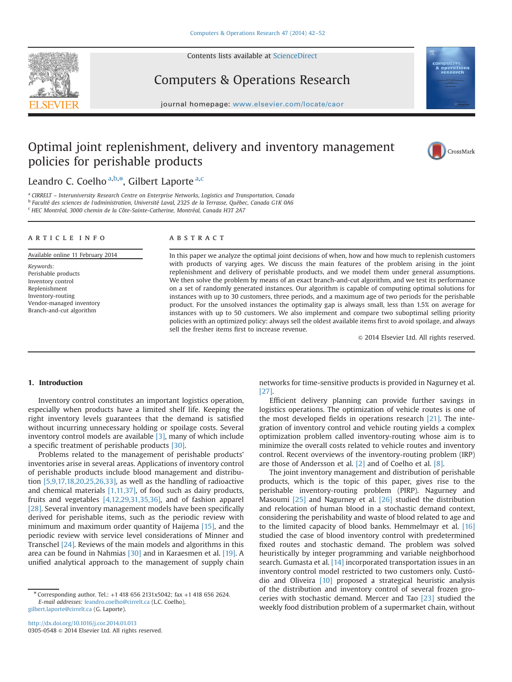

Contents lists available at [ScienceDirect](www.sciencedirect.com/science/journal/03050548)

## Computers & Operations Research

journal homepage: <www.elsevier.com/locate/caor>dinal  $\mathcal{C}$ 

## Optimal joint replenishment, delivery and inventory management policies for perishable products



Leandro C. Coelho <sup>a,b,\*</sup>, Gilbert Laporte <sup>a,c</sup>

<sup>a</sup> CIRRELT – Interuniversity Research Centre on Enterprise Networks, Logistics and Transportation, Canada <sup>b</sup> Faculté des sciences de l'administration, Université Laval, 2325 de la Terrasse, Québec, Canada G1K 0A6

<sup>c</sup> HEC Montréal, 3000 chemin de la Côte-Sainte-Catherine, Montréal, Canada H3T 2A7

#### article info

Available online 11 February 2014

Keywords: Perishable products Inventory control Replenishment Inventory-routing Vendor-managed inventory Branch-and-cut algorithm

### **ABSTRACT**

In this paper we analyze the optimal joint decisions of when, how and how much to replenish customers with products of varying ages. We discuss the main features of the problem arising in the joint replenishment and delivery of perishable products, and we model them under general assumptions. We then solve the problem by means of an exact branch-and-cut algorithm, and we test its performance on a set of randomly generated instances. Our algorithm is capable of computing optimal solutions for instances with up to 30 customers, three periods, and a maximum age of two periods for the perishable product. For the unsolved instances the optimality gap is always small, less than 1.5% on average for instances with up to 50 customers. We also implement and compare two suboptimal selling priority policies with an optimized policy: always sell the oldest available items first to avoid spoilage, and always sell the fresher items first to increase revenue.

 $\odot$  2014 Elsevier Ltd. All rights reserved.

## 1. Introduction

Inventory control constitutes an important logistics operation, especially when products have a limited shelf life. Keeping the right inventory levels guarantees that the demand is satisfied without incurring unnecessary holding or spoilage costs. Several inventory control models are available [\[3\],](#page--1-0) many of which include a specific treatment of perishable products [\[30\].](#page--1-0)

Problems related to the management of perishable products' inventories arise in several areas. Applications of inventory control of perishable products include blood management and distribution  $[5,9,17,18,20,25,26,33]$ , as well as the handling of radioactive and chemical materials [\[1,11,37\],](#page--1-0) of food such as dairy products, fruits and vegetables [\[4,12,29,31,35,36\],](#page--1-0) and of fashion apparel [\[28\]](#page--1-0). Several inventory management models have been specifically derived for perishable items, such as the periodic review with minimum and maximum order quantity of Haijema [\[15\]](#page--1-0), and the periodic review with service level considerations of Minner and Transchel [\[24\].](#page--1-0) Reviews of the main models and algorithms in this area can be found in Nahmias [\[30\]](#page--1-0) and in Karaesmen et al. [\[19\].](#page--1-0) A unified analytical approach to the management of supply chain networks for time-sensitive products is provided in Nagurney et al. [\[27\].](#page--1-0)

Efficient delivery planning can provide further savings in logistics operations. The optimization of vehicle routes is one of the most developed fields in operations research [\[21\].](#page--1-0) The integration of inventory control and vehicle routing yields a complex optimization problem called inventory-routing whose aim is to minimize the overall costs related to vehicle routes and inventory control. Recent overviews of the inventory-routing problem (IRP) are those of Andersson et al. [\[2\]](#page--1-0) and of Coelho et al. [\[8\]](#page--1-0).

The joint inventory management and distribution of perishable products, which is the topic of this paper, gives rise to the perishable inventory-routing problem (PIRP). Nagurney and Masoumi [\[25\]](#page--1-0) and Nagurney et al. [\[26\]](#page--1-0) studied the distribution and relocation of human blood in a stochastic demand context, considering the perishability and waste of blood related to age and to the limited capacity of blood banks. Hemmelmayr et al. [\[16\]](#page--1-0) studied the case of blood inventory control with predetermined fixed routes and stochastic demand. The problem was solved heuristically by integer programming and variable neighborhood search. Gumasta et al. [\[14\]](#page--1-0) incorporated transportation issues in an inventory control model restricted to two customers only. Custódio and Oliveira [\[10\]](#page--1-0) proposed a strategical heuristic analysis of the distribution and inventory control of several frozen groceries with stochastic demand. Mercer and Tao [\[23\]](#page--1-0) studied the weekly food distribution problem of a supermarket chain, without

<sup>\*</sup> Corresponding author. Tel.:  $+1$  418 656 2131x5042; fax  $+1$  418 656 2624. E-mail addresses: [leandro.coelho@cirrelt.ca](mailto:leandro.coelho@cirrelt.ca) (L.C. Coelho), [gilbert.laporte@cirrelt.ca](mailto:gilbert.laporte@cirrelt.ca) (G. Laporte).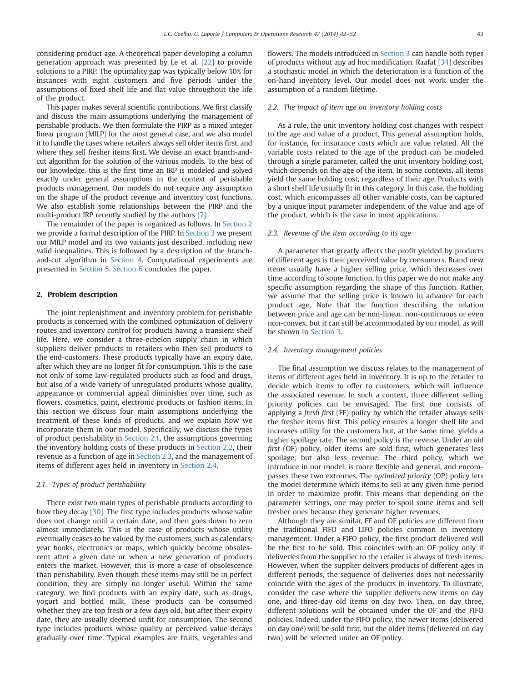considering product age. A theoretical paper developing a column generation approach was presented by Le et al. [\[22\]](#page--1-0) to provide solutions to a PIRP. The optimality gap was typically below 10% for instances with eight customers and five periods under the assumptions of fixed shelf life and flat value throughout the life of the product.

This paper makes several scientific contributions. We first classify and discuss the main assumptions underlying the management of perishable products. We then formulate the PIRP as a mixed integer linear program (MILP) for the most general case, and we also model it to handle the cases where retailers always sell older items first, and where they sell fresher items first. We devise an exact branch-andcut algorithm for the solution of the various models. To the best of our knowledge, this is the first time an IRP is modeled and solved exactly under general assumptions in the context of perishable products management. Our models do not require any assumption on the shape of the product revenue and inventory cost functions. We also establish some relationships between the PIRP and the multi-product IRP recently studied by the authors [\[7\].](#page--1-0)

The remainder of the paper is organized as follows. In Section 2 we provide a formal description of the PIRP. In [Section 3](#page--1-0) we present our MILP model and its two variants just described, including new valid inequalities. This is followed by a description of the branchand-cut algorithm in [Section 4.](#page--1-0) Computational experiments are presented in [Section 5.](#page--1-0) [Section 6](#page--1-0) concludes the paper.

### 2. Problem description

The joint replenishment and inventory problem for perishable products is concerned with the combined optimization of delivery routes and inventory control for products having a transient shelf life. Here, we consider a three-echelon supply chain in which suppliers deliver products to retailers who then sell products to the end-customers. These products typically have an expiry date, after which they are no longer fit for consumption. This is the case not only of some law-regulated products such as food and drugs, but also of a wide variety of unregulated products whose quality, appearance or commercial appeal diminishes over time, such as flowers, cosmetics, paint, electronic products or fashion items. In this section we discuss four main assumptions underlying the treatment of these kinds of products, and we explain how we incorporate them in our model. Specifically, we discuss the types of product perishability in Section 2.1, the assumptions governing the inventory holding costs of these products in Section 2.2, their revenue as a function of age in Section 2.3, and the management of items of different ages held in inventory in Section 2.4.

## 2.1. Types of product perishability

There exist two main types of perishable products according to how they decay [\[30\]](#page--1-0). The first type includes products whose value does not change until a certain date, and then goes down to zero almost immediately. This is the case of products whose utility eventually ceases to be valued by the customers, such as calendars, year books, electronics or maps, which quickly become obsolescent after a given date or when a new generation of products enters the market. However, this is more a case of obsolescence than perishability. Even though these items may still be in perfect condition, they are simply no longer useful. Within the same category, we find products with an expiry date, such as drugs, yogurt and bottled milk. These products can be consumed whether they are top fresh or a few days old, but after their expiry date, they are usually deemed unfit for consumption. The second type includes products whose quality or perceived value decays gradually over time. Typical examples are fruits, vegetables and

flowers. The models introduced in [Section 3](#page--1-0) can handle both types of products without any ad hoc modification. Raafat [\[34\]](#page--1-0) describes a stochastic model in which the deterioration is a function of the on-hand inventory level. Our model does not work under the assumption of a random lifetime.

## 2.2. The impact of item age on inventory holding costs

As a rule, the unit inventory holding cost changes with respect to the age and value of a product. This general assumption holds, for instance, for insurance costs which are value related. All the variable costs related to the age of the product can be modeled through a single parameter, called the unit inventory holding cost, which depends on the age of the item. In some contexts, all items yield the same holding cost, regardless of their age. Products with a short shelf life usually fit in this category. In this case, the holding cost, which encompasses all other variable costs, can be captured by a unique input parameter independent of the value and age of the product, which is the case in most applications.

## 2.3. Revenue of the item according to its age

A parameter that greatly affects the profit yielded by products of different ages is their perceived value by consumers. Brand new items usually have a higher selling price, which decreases over time according to some function. In this paper we do not make any specific assumption regarding the shape of this function. Rather, we assume that the selling price is known in advance for each product age. Note that the function describing the relation between price and age can be non-linear, non-continuous or even non-convex, but it can still be accommodated by our model, as will be shown in [Section 3.](#page--1-0)

### 2.4. Inventory management policies

The final assumption we discuss relates to the management of items of different ages held in inventory. It is up to the retailer to decide which items to offer to customers, which will influence the associated revenue. In such a context, three different selling priority policies can be envisaged. The first one consists of applying a fresh first (FF) policy by which the retailer always sells the fresher items first. This policy ensures a longer shelf life and increases utility for the customers but, at the same time, yields a higher spoilage rate. The second policy is the reverse. Under an old first (OF) policy, older items are sold first, which generates less spoilage, but also less revenue. The third policy, which we introduce in our model, is more flexible and general, and encompasses these two extremes. The optimized priority (OP) policy lets the model determine which items to sell at any given time period in order to maximize profit. This means that depending on the parameter settings, one may prefer to spoil some items and sell fresher ones because they generate higher revenues.

Although they are similar, FF and OF policies are different from the traditional FIFO and LIFO policies common in inventory management. Under a FIFO policy, the first product delivered will be the first to be sold. This coincides with an OF policy only if deliveries from the supplier to the retailer is always of fresh items. However, when the supplier delivers products of different ages in different periods, the sequence of deliveries does not necessarily coincide with the ages of the products in inventory. To illustrate, consider the case where the supplier delivers new items on day one, and three-day old items on day two. Then, on day three, different solutions will be obtained under the OF and the FIFO policies. Indeed, under the FIFO policy, the newer items (delivered on day one) will be sold first, but the older items (delivered on day two) will be selected under an OF policy.